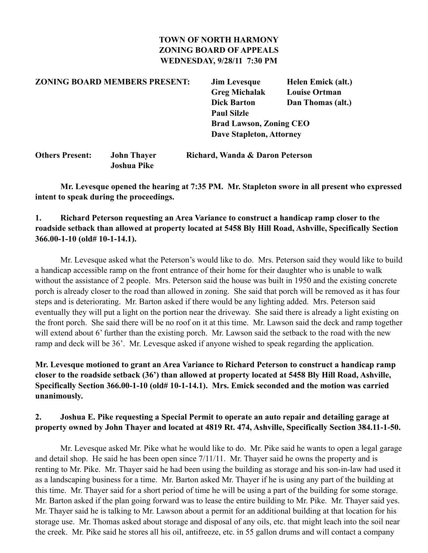### **TOWN OF NORTH HARMONY ZONING BOARD OF APPEALS WEDNESDAY, 9/28/11 7:30 PM**

# **ZONING BOARD MEMBERS PRESENT: Jim Levesque Helen Emick (alt.) Greg Michalak Louise Ortman Dick Barton Dan Thomas (alt.) Paul Silzle Brad Lawson, Zoning CEO Dave Stapleton, Attorney**

| <b>Others Present:</b> | <b>John Thayer</b> | Richard, Wanda & Daron Peterson |
|------------------------|--------------------|---------------------------------|
|                        | Joshua Pike        |                                 |

 **Mr. Levesque opened the hearing at 7:35 PM. Mr. Stapleton swore in all present who expressed intent to speak during the proceedings.**

#### **1. Richard Peterson requesting an Area Variance to construct a handicap ramp closer to the roadside setback than allowed at property located at 5458 Bly Hill Road, Ashville, Specifically Section 366.00-1-10 (old# 10-1-14.1).**

 Mr. Levesque asked what the Peterson's would like to do. Mrs. Peterson said they would like to build a handicap accessible ramp on the front entrance of their home for their daughter who is unable to walk without the assistance of 2 people. Mrs. Peterson said the house was built in 1950 and the existing concrete porch is already closer to the road than allowed in zoning. She said that porch will be removed as it has four steps and is deteriorating. Mr. Barton asked if there would be any lighting added. Mrs. Peterson said eventually they will put a light on the portion near the driveway. She said there is already a light existing on the front porch. She said there will be no roof on it at this time. Mr. Lawson said the deck and ramp together will extend about 6' further than the existing porch. Mr. Lawson said the setback to the road with the new ramp and deck will be 36'. Mr. Levesque asked if anyone wished to speak regarding the application.

## **Mr. Levesque motioned to grant an Area Variance to Richard Peterson to construct a handicap ramp closer to the roadside setback (36') than allowed at property located at 5458 Bly Hill Road, Ashville, Specifically Section 366.00-1-10 (old# 10-1-14.1). Mrs. Emick seconded and the motion was carried unanimously.**

### **2. Joshua E. Pike requesting a Special Permit to operate an auto repair and detailing garage at property owned by John Thayer and located at 4819 Rt. 474, Ashville, Specifically Section 384.11-1-50.**

 Mr. Levesque asked Mr. Pike what he would like to do. Mr. Pike said he wants to open a legal garage and detail shop. He said he has been open since 7/11/11. Mr. Thayer said he owns the property and is renting to Mr. Pike. Mr. Thayer said he had been using the building as storage and his son-in-law had used it as a landscaping business for a time. Mr. Barton asked Mr. Thayer if he is using any part of the building at this time. Mr. Thayer said for a short period of time he will be using a part of the building for some storage. Mr. Barton asked if the plan going forward was to lease the entire building to Mr. Pike. Mr. Thayer said yes. Mr. Thayer said he is talking to Mr. Lawson about a permit for an additional building at that location for his storage use. Mr. Thomas asked about storage and disposal of any oils, etc. that might leach into the soil near the creek. Mr. Pike said he stores all his oil, antifreeze, etc. in 55 gallon drums and will contact a company